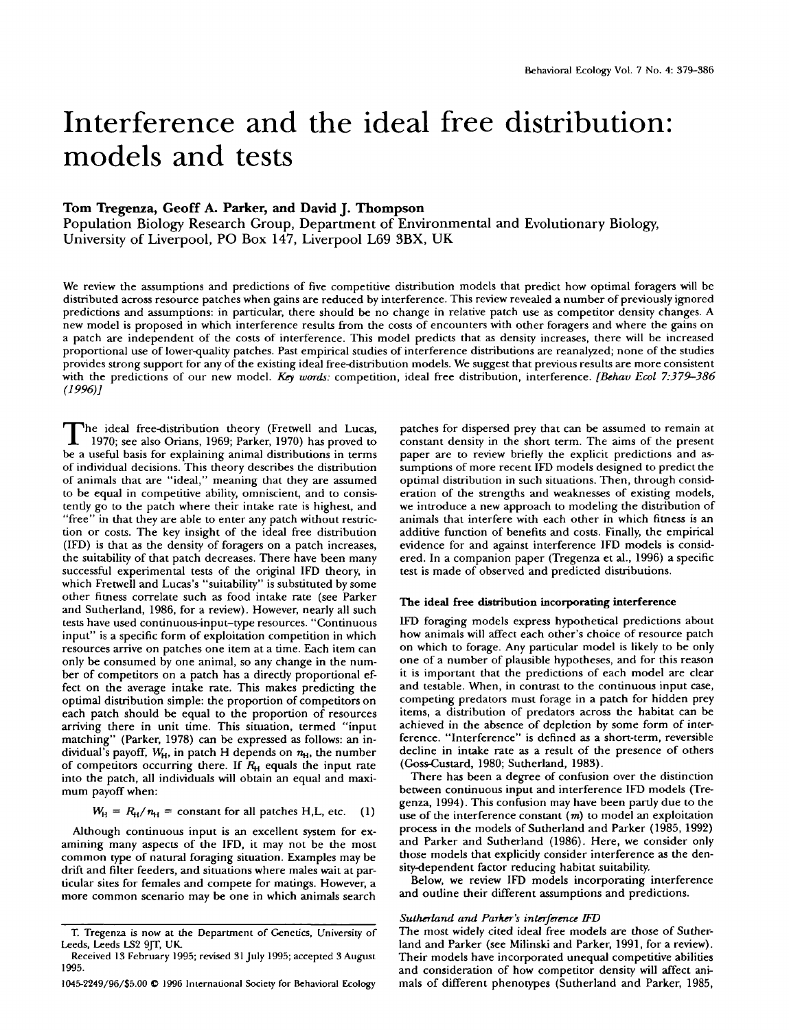# Interference and the ideal free distribution: models and tests

# **Tom Tregenza, Geoff A. Parker, and David J. Thompson**

Population Biology Research Group, Department of Environmental and Evolutionary Biology, University of Liverpool, PO Box 147, Liverpool L69 3BX, UK

We review the assumptions and predictions of five competitive distribution models that predict how optimal foragers will be distributed across resource patches when gains are reduced by interference. This review revealed a number of previously ignored predictions and assumptions: in particular, there should be no change in relative patch use as competitor density changes. A new model is proposed in which interference results from the costs of encounters with other foragers and where the gains on a patch are independent of the costs of interference. This model predicts that as density increases, there will be increased proportional use of lower-quality patches. Past empirical studies of interference distributions are reanalyzed; none of the studies provides strong support for any of the existing ideal free-distribution models. We suggest that previous results are more consistent with the predictions of our new model. *Key words:* competition, ideal free distribution, interference. *[Behav Ecol 7:379-386 (1996)]*

The ideal free-distribution theory (Fretwell and Lucas, 1970; see also Orians, 1969; Parker, 1970) has proved to be a useful basis for explaining animal distributions in terms he ideal free-distribution theory (Fretwell and Lucas, 1970; see also Orians, 1969; Parker, 1970) has proved to of individual decisions. This theory describes the distribution of animals that are "ideal," meaning that they are assumed to be equal in competitive ability, omniscient, and to consistendy go to the patch where their intake rate is highest, and "free" in that they are able to enter any patch without restriction or costs. The key insight of the ideal free distribution (IFD) is that as the density of foragers on a patch increases, the suitability of that patch decreases. There have been many successful experimental tests of the original IFD theory, in which Fretwell and Lucas's "suitability" is substituted by some other fitness correlate such as food intake rate (see Parker and Sutherland, 1986, for a review). However, nearly all such tests have used continuous-input-type resources. "Continuous input" is a specific form of exploitation competition in which resources arrive on patches one item at a time. Each item can only be consumed by one animal, so any change in the number of competitors on a patch has a directly proportional effect on the average intake rate. This makes predicting the optimal distribution simple: the proportion of competitors on each patch should be equal to the proportion of resources arriving there in unit time. This situation, termed "input matching" (Parker, 1978) can be expressed as follows: an inmatching (Parker, 1978) can be expressed as follows: an in-<br>dividual's payoff, *W*<sub>h</sub>, in patch H depends on n<sub>ine</sub> the number  $\alpha$  and  $\alpha$  is payon,  $w_H$ , in patch H depends on  $n_H$ , the number of competitors occurring there. If  $R$  equals the input rate of competitors occurring there. If  $R<sub>H</sub>$  equals the input rate into the patch, all individuals will obtain an equal and maximum payoff when:

$$
W_{\rm H} = R_{\rm H}/n_{\rm H} = \text{constant for all patches H, L, etc.}
$$
 (1)

Although continuous input is an excellent system for examining many aspects of the IFD, it may not be the most common type of natural foraging situation. Examples may be drift and filter feeders, and situations where males wait at particular sites for females and compete for matings. However, a more common scenario may be one in which animals search

patches for dispersed prey that can be assumed to remain at constant density in the short term. The aims of the present paper are to review briefly the explicit predictions and assumptions of more recent IFD models designed to predict the optimal distribution in such situations. Then, through consideration of the strengths and weaknesses of existing models, we introduce a new approach to modeling the distribution of animals that interfere with each other in which fitness is an additive function of benefits and costs. Finally, the empirical evidence for and against interference IFD models is considered. In a companion paper (Tregenza et al., 1996) a specific test is made of observed and predicted distributions.

# **The ideal free distribution incorporating interference**

IFD foraging models express hypothetical predictions about how animals will affect each odier's choice of resource patch on which to forage. Any particular model is likely to be only one of a number of plausible hypotheses, and for this reason it is important that the predictions of each model are clear and testable. When, in contrast to the continuous input case, competing predators must forage in a patch for hidden prey items, a distribution of predators across die habitat can be achieved in the absence of depletion by some form of interference. "Interference" is defined as a short-term, reversible decline in intake rate as a result of the presence of others (Goss-Custard, 1980; Sutherland, 1983).

There has been a degree of confusion over the distinction between continuous input and interference IFD models (Tregenza, 1994). This confusion may have been partly due to the use of the interference constant  $(m)$  to model an exploitation process in the models of Sutherland and Parker (1985, 1992) and Parker and Sutherland (1986). Here, we consider only those models that explicidy consider interference as the density-dependent factor reducing habitat suitability.

Below, we review IFD models incorporating interference and oudine their different assumptions and predictions.

# *Sutherland and Parker's interference IFD*

The most widely cited ideal free models are those of Sutherland and Parker (see Milinski and Parker, 1991, for a review). Their models have incorporated unequal competitive abilities and consideration of how competitor density will affect animals of different phenotypes (Sudierland and Parker, 1985,

T. Tregenza is now at the Department of Genetics, University of Leeds, Leeds LS2 9JT, UK.

Received 13 February 1995; revised 31 July 1995; accepted 3 August 1995.

<sup>1045-2249/96/</sup>S5.00 © 1996 International Society for Behavioral Ecology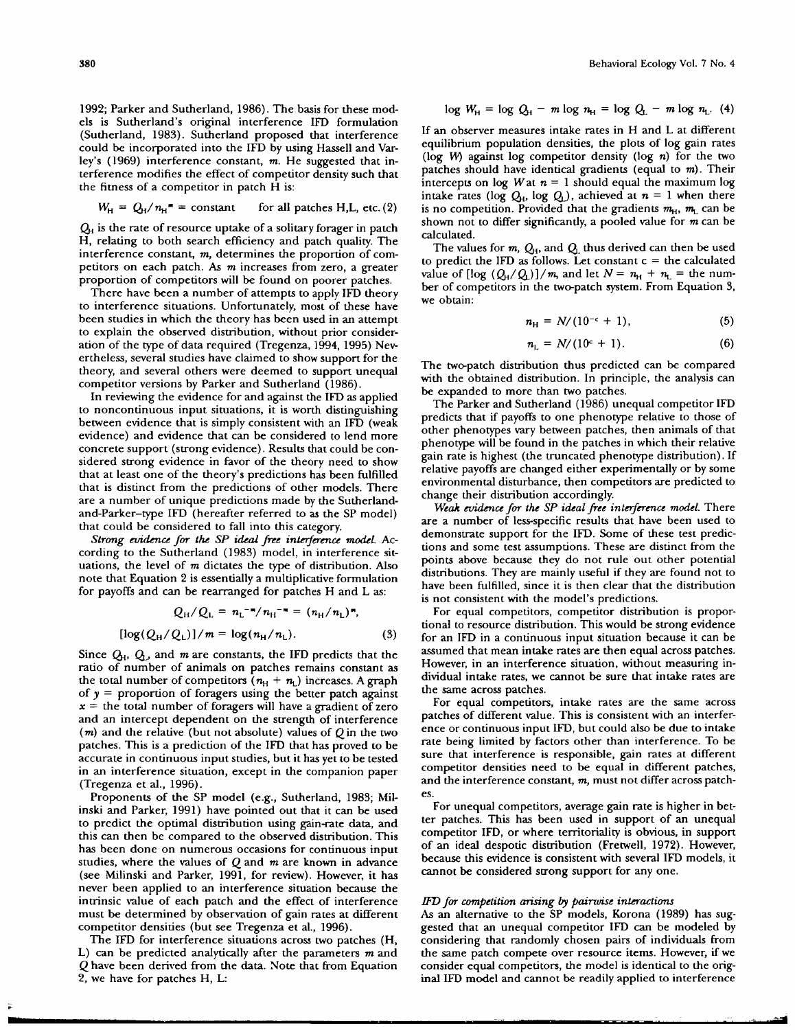1992; Parker and Sutherland, 1986). The basis for these models is Sutherland's original interference IFD formulation (Sutherland, 1983). Sutherland proposed that interference could be incorporated into the IFD by using Hassell and Varley's (1969) interference constant, *m.* He suggested that interference modifies the effect of competitor density such that the fitness of a competitor in patch H is:

$$
W_{\rm H} = Q_{\rm H} / n_{\rm H} = \text{constant} \qquad \text{for all patches H, L, etc. (2)}
$$

*QH* is the rate of resource uptake of a solitary forager in patch H, relating to both search efficiency and patch quality. The interference constant, *m,* determines the proportion of competitors on each patch. As *m* increases from zero, a greater proportion of competitors will be found on poorer patches.

There have been a number of attempts to apply IFD theory to interference situations. Unfortunately, most of these have been studies in which the theory has been used in an attempt to explain the observed distribution, without prior consideration of the type of data required (Tregenza, 1994, 1995) Nevertheless, several studies have claimed to show support for the theory, and several others were deemed to support unequal competitor versions by Parker and Sutherland (1986).

In reviewing the evidence for and against the IFD as applied to noncontinuous input situations, it is worth distinguishing between evidence that is simply consistent with an IFD (weak evidence) and evidence that can be considered to lend more concrete support (strong evidence). Results that could be considered strong evidence in favor of the theory need to show that at least one of the theory's predictions has been fulfilled that is distinct from the predictions of other models. There are a number of unique predictions made by the Sutherlandand-Parker-type IFD (hereafter referred to as the SP model) that could be considered to fall into this category.

*Strong evidence for the SP ideal free interference model* According to the Sutherland (1983) model, in interference situations, the level of *m* dictates the type of distribution. Also note that Equation 2 is essentially a multiplicative formulation for payoffs and can be rearranged for patches H and L as:

$$
Q_{\rm H}/Q_{\rm L} = n_{\rm L}^{-m}/n_{\rm H}^{-m} = (n_{\rm H}/n_{\rm L})^{m},
$$
  
[log( $Q_{\rm H}/Q_{\rm L}$ )]/m = log( $n_{\rm H}/n_{\rm L}$ ). (3)

Since  $Q_H$ ,  $Q_L$ , and *m* are constants, the IFD predicts that the ratio of number of animals on patches remains constant as the total number of competitors  $(n_H + n_L)$  increases. A graph of *y =* proportion of foragers using the better patch against  $x =$  the total number of foragers will have a gradient of zero and an intercept dependent on the strength of interference  $(m)$  and the relative (but not absolute) values of  $Q$  in the two patches. This is a prediction of the IFD that has proved to be accurate in continuous input studies, but it has yet to be tested in an interference situation, except in the companion paper (Tregenza et al., 1996).

Proponents of the SP model (e.g., Sutherland, 1983; Milinski and Parker, 1991) have pointed out that it can be used to predict the optimal distribution using gain-rate data, and this can then be compared to the observed distribution. This has been done on numerous occasions for continuous input studies, where the values of Q and *m* are known in advance (see Milinski and Parker, 1991, for review). However, it has never been applied to an interference situation because the intrinsic value of each patch and the effect of interference must be determined by observation of gain rates at different competitor densities (but see Tregenza et al., 1996).

The IFD for interference situations across two patches (H, L) can be predicted analytically after the parameters *m* and Q have been derived from the data. Note that from Equation 2, we have for patches H, L:

$$
\log W_{\rm H} = \log Q_{\rm H} - m \log n_{\rm H} = \log Q_{\rm L} - m \log n_{\rm L} \quad (4)
$$

If an observer measures intake rates in H and L at different equilibrium population densities, the plots of log gain rates (log *W)* against log competitor density (log n) for the two patches should have identical gradients (equal to *m).* Their intercepts on log W at  $n = 1$  should equal the maximum log intake rates (log  $Q_H$ , log  $Q_L$ ), achieved at  $n = 1$  when there is no competition. Provided that the gradients  $m_H$ ,  $m_I$  can be shown not to differ significantly, a pooled value for *m* can be calculated.

The values for  $m$ ,  $Q_H$ , and  $Q_L$  thus derived can then be used to predict the IFD as follows. Let constant  $c =$  the calculated value of  $[\log (Q_H/Q_L)]/m$ , and let  $N = n_H + n_L =$  the number of competitors in the two-patch system. From Equation 3, we obtain:

$$
n_{\rm H} = N/(10^{-c} + 1), \tag{5}
$$

$$
n_{\rm L} = N/(10^{\rm c} + 1). \tag{6}
$$

The two-patch distribution thus predicted can be compared with the obtained distribution. In principle, the analysis can be expanded to more than two patches.

The Parker and Sutherland (1986) unequal competitor IFD predicts that if payoffs to one phenotype relative to those of other phenotypes vary between patches, then animals of that phenotype will be found in the patches in which their relative gain rate is highest (the truncated phenotype distribution). If relative payoffs are changed either experimentally or by some environmental disturbance, then competitors are predicted to change their distribution accordingly.

*Weak eindence for the SP ideal free interference model.* There are a number of less-specific results that have been used to demonstrate support for the IFD. Some of these test predictions and some test assumptions. These are distinct from the points above because they do not rule out other potential distributions. They are mainly useful if they are found not to have been fulfilled, since it is then clear that the distribution is not consistent with the model's predictions.

For equal competitors, competitor distribution is proportional to resource distribution. This would be strong evidence for an IFD in a continuous input situation because it can be assumed that mean intake rates are then equal across patches. However, in an interference situation, without measuring individual intake rates, we cannot be sure that intake rates are the same across patches.

For equal competitors, intake rates are the same across patches of different value. This is consistent with an interference or continuous input IFD, but could also be due to intake rate being limited by factors other than interference. To be sure that interference is responsible, gain rates at different competitor densities need to be equal in different patches, and the interference constant, *m,* must not differ across patches.

For unequal competitors, average gain rate is higher in better patches. This has been used in support of an unequal competitor IFD, or where territoriality is obvious, in support of an ideal despotic distribution (Fretwell, 1972). However, because this evidence is consistent with several IFD models, it cannot be considered strong support for any one.

## *IFD for competition arising by pairwise interactions*

As an alternative to the SP models, Korona (1989) has suggested diat an unequal competitor IFD can be modeled by considering that randomly chosen pairs of individuals from the same patch compete over resource items. However, if we consider equal competitors, the model is identical to the original IFD model and cannot be readily applied to interference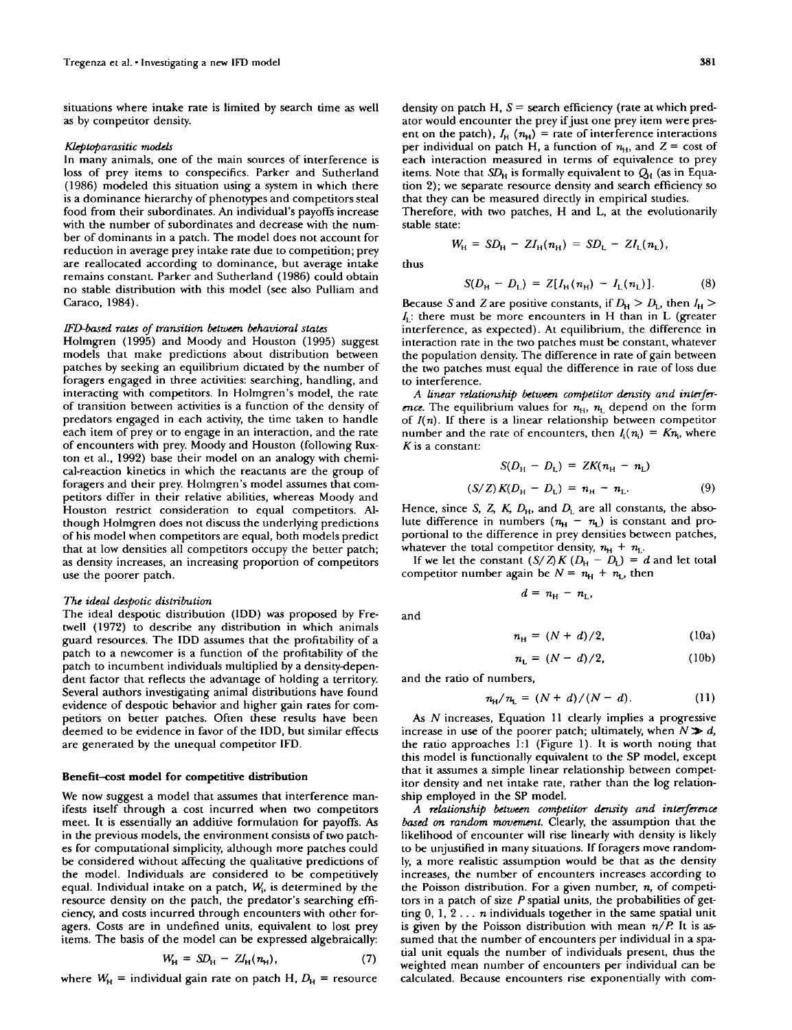situations where intake rate is limited by search time as well as by competitor density.

### *Kleptoparasitic models*

In many animals, one of the main sources of interference is loss of prey items to conspecifics. Parker and Sutherland (1986) modeled this situation using a system in which there is a dominance hierarchy of phenotypes and competitors steal food from their subordinates. An individual's payoffs increase with the number of subordinates and decrease with the number of dominants in a patch. The model does not account for reduction in average prey intake rate due to competition; prey are reallocated according to dominance, but average intake remains constant. Parker and Sutherland (1986) could obtain no stable distribution with this model (see also Pulliam and Caraco, 1984).

### *IFD-based rates of transition between behavioral states*

Holmgren (1995) and Moody and Houston (1995) suggest models that make predictions about distribution between patches by seeking an equilibrium dictated by the number of foragers engaged in three activities: searching, handling, and interacting with competitors. In Holmgren's model, the rate of transition between activities is a function of the density of predators engaged in each activity, the time taken to handle each item of prey or to engage in an interaction, and the rate of encounters with prey. Moody and Houston (following Ruxton et al., 1992) base their model on an analogy with chemical-reaction kinetics in which the reactants are the group of foragers and their prey. Holmgren's model assumes that competitors differ in their relative abilities, whereas Moody and Houston restrict consideration to equal competitors. Although Holmgren does not discuss the underlying predictions of his model when competitors are equal, both models predict that at low densities all competitors occupy the better patch; as density increases, an increasing proportion of competitors use the poorer patch.

#### *The ideal despotic distribution*

The ideal despotic distribution (IDD) was proposed by Fretwell (1972) to describe any distribution in which animals guard resources. The IDD assumes that the profitability of a patch to a newcomer is a function of the profitability of the patch to incumbent individuals multiplied by a density-dependent factor that reflects the advantage of holding a territory. Several authors investigating animal distributions have found evidence of despotic behavior and higher gain rates for competitors on better patches. Often these results have been deemed to be evidence in favor of the IDD, but similar effects are generated by the unequal competitor **IFD.**

#### **Benefit-cost model for competitive distribution**

We now suggest a model that assumes that interference manifests itself through a cost incurred when two competitors meet. It is essentially an additive formulation for payoffs. As in the previous models, the environment consists of two patches for computational simplicity, although more patches could be considered without affecting the qualitative predictions of the model. Individuals are considered to be competitively equal. Individual intake on a patch,  $W_i$ , is determined by the resource density on the patch, the predator's searching efficiency, and costs incurred through encounters with other foragers. Costs are in undefined units, equivalent to lost prey items. The basis of the model can be expressed algebraically:

$$
W_{\rm H} = SD_{\rm H} - ZI_{\rm H}(n_{\rm H}), \qquad (7)
$$

where  $W_H$  = individual gain rate on patch H,  $D_H$  = resource

density on patch H,  $S =$  search efficiency (rate at which predator would encounter the prey if just one prey item were present on the patch),  $I_H$  ( $n_H$ ) = rate of interference interactions per individual on patch H, a function of  $n<sub>H</sub>$ , and  $Z = \text{cost of}$ each interaction measured in terms of equivalence to prey items. Note that  $SD<sub>H</sub>$  is formally equivalent to  $Q<sub>H</sub>$  (as in Equation 2); we separate resource density and search efficiency so that they can be measured directly in empirical studies. Therefore, with two patches, H and L, at the evolutionarily

thus

stable state:

$$
\mathcal{L}^{\mathcal{L}}(\mathcal{L}^{\mathcal{L}}(\mathcal{L}^{\mathcal{L}}(\mathcal{L}^{\mathcal{L}}(\mathcal{L}^{\mathcal{L}}(\mathcal{L}^{\mathcal{L}}(\mathcal{L}^{\mathcal{L}}(\mathcal{L}^{\mathcal{L}}(\mathcal{L}^{\mathcal{L}}(\mathcal{L}^{\mathcal{L}}(\mathcal{L}^{\mathcal{L}}(\mathcal{L}^{\mathcal{L}}(\mathcal{L}^{\mathcal{L}}(\mathcal{L}^{\mathcal{L}}(\mathcal{L}^{\mathcal{L}}(\mathcal{L}^{\mathcal{L}}(\mathcal{L}^{\mathcal{L}}(\mathcal{L}^{\mathcal{L}}(\mathcal{L}^{\mathcal{L}}(\mathcal{L}^{\mathcal{L}}(\mathcal{L}^{\mathcal{L}}(\mathcal{L}^{\mathcal{L}}(\mathcal{L}^{\mathcal{L}}(\mathcal{L}^{\mathcal{L}}(\mathcal{L}^{\mathcal{L}}(\mathcal{L}^{\mathcal{L}}(\mathcal{L}^{\mathcal{L}}(\mathcal{L}^{\mathcal{L}}(\mathcal{L}^{\mathcal{L}}(\mathcal{L}^{\mathcal{L}}(\mathcal{L}^{\mathcal{L}}(\mathcal{L}^{\mathcal{L}}(\mathcal{L}^{\mathcal{L}}(\mathcal{L}^{\mathcal{L}}(\mathcal{L}^{\mathcal{L}}(\mathcal{L}^{\mathcal{L}}(\mathcal{L}^{\mathcal{L}}(\mathcal{L}^{\mathcal{L}}(\mathcal{L}^{\mathcal{L}}(\mathcal{L}^{\mathcal{L}}(\mathcal{L}^{\mathcal{L}}(\mathcal{L}^{\mathcal{L}}(\mathcal{L}^{\mathcal{L}}(\mathcal{L}^{\mathcal{L}}(\mathcal{L}^{\mathcal{L}}(\mathcal{L}^{\mathcal{L}}(\mathcal{L}^{\mathcal{L}}(\mathcal{L}^{\mathcal{L}}(\mathcal{L}^{\mathcal{L}}(\mathcal{L}^{\mathcal{L}}(\mathcal{L}^{\mathcal{L}}(\mathcal{L}^{\mathcal{L}}(\mathcal{L}^{\mathcal{L}}(\mathcal{L}^{\mathcal{L}}(\mathcal{L}^{\mathcal{L}}(\mathcal{L}^{\mathcal{L}}(\mathcal{L}^{\mathcal{L}}(\mathcal{L}^{\mathcal{L}}(\mathcal{L}
$$

 $W_{\text{H}} = SD_{\text{H}} - ZI_{\text{H}}(n_{\text{H}}) = SD_{\text{L}} - ZI_{\text{L}}(n_{\text{L}}),$ 

$$
S(D_{\rm H} - D_{\rm L}) = Z[I_{\rm H}(n_{\rm H}) - I_{\rm L}(n_{\rm L})]. \tag{8}
$$

Because S and Z are positive constants, if  $D_H > D_L$ , then  $I_H >$  $I_L$ : there must be more encounters in H than in L (greater interference, as expected). At equilibrium, the difference in interaction rate in the two patches must be constant, whatever the population density. The difference in rate of gain between the two patches must equal the difference in rate of loss due to interference.

*A linear relationship between competitor density and interference*. The equilibrium values for  $n_{\rm H}$ ,  $n_{\rm L}$  depend on the form of  $I(n)$ . If there is a linear relationship between competitor number and the rate of encounters, then  $I_i(n_i) = Kn_i$ , where *K* is a constant:

$$
S(D_{\rm H} - D_{\rm L}) = ZK(n_{\rm H} - n_{\rm L})
$$
  

$$
(S/Z)K(D_{\rm H} - D_{\rm L}) = n_{\rm H} - n_{\rm L}.
$$
 (9)

Hence, since *S*, *Z*, *K*,  $D_H$ , and  $D_L$  are all constants, the absolute difference in numbers  $(n_H - n_L)$  is constant and proportional to the difference in prey densities between patches, whatever the total competitor density,  $n_H + n_L$ .

If we let the constant  $(S/Z)K (D<sub>H</sub> - D<sub>L</sub>) = d$  and let total competitor number again be  $N = n_H + n_L$ , then

$$
d = n_{\rm H} - n_{\rm L},
$$

$$
n_{\rm H} = (N + d)/2, \tag{10a}
$$

$$
n_{\rm L} = (N - d)/2, \tag{10b}
$$

and the ratio of numbers,

and

$$
n_{\rm H}/n_{\rm L} = (N + d)/(N - d). \tag{11}
$$

As *N* increases, Equation 11 clearly implies a progressive increase in use of the poorer patch; ultimately, when  $N \gg d$ , the ratio approaches 1:1 (Figure 1). It is worth noting that this model is functionally equivalent to the SP model, except that it assumes a simple linear relationship between competitor density and net intake rate, rather than the log relationship employed in the SP model.

*A relationship between competitor density and interference based on random movement.* Clearly, the assumption that the likelihood of encounter will rise linearly with density is likely to be unjustified in many situations. If foragers move randomly, a more realistic assumption would be that as the density increases, the number of encounters increases according to the Poisson distribution. For a given number, *n,* of competitors in a patch of size *P* spatial units, the probabilities of getting  $0, 1, 2, \ldots$  *n* individuals together in the same spatial unit is given by the Poisson distribution with mean  $n/P$ . It is assumed that the number of encounters per individual in a spatial unit equals the number of individuals present, thus the weighted mean number of encounters per individual can be calculated. Because encounters rise exponentially with com-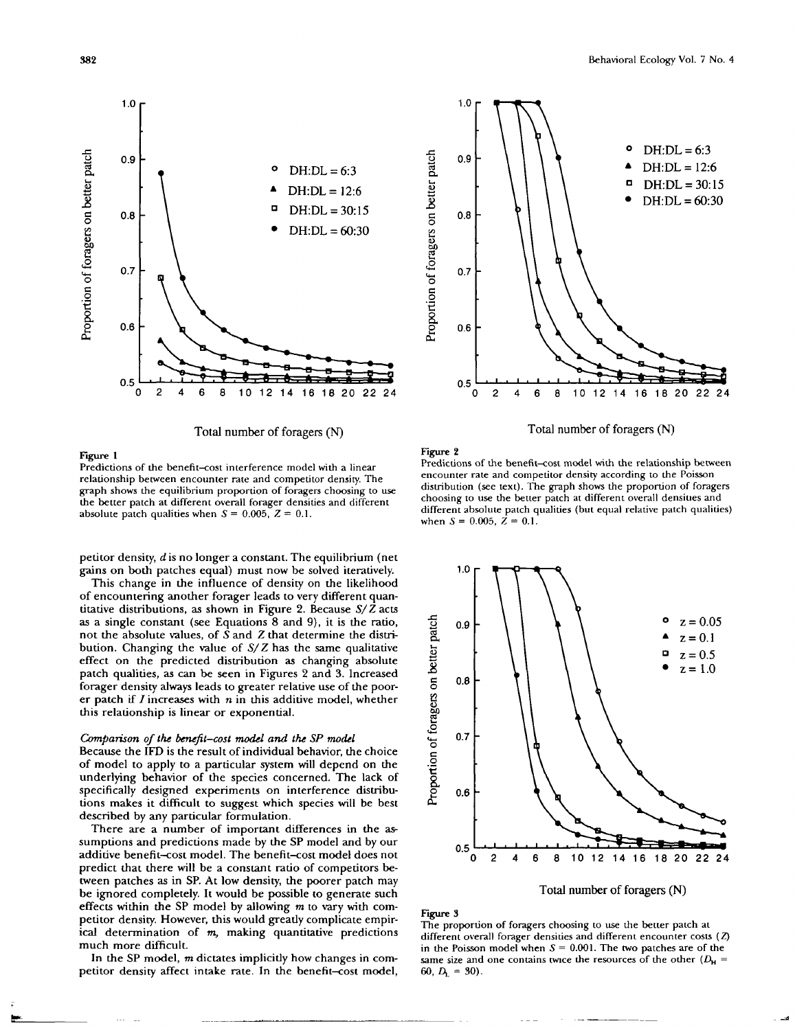

Total number of foragers (N)

### **Figure 1**

Predictions of the benefit-cost interference model with a linear relationship between encounter rate and competitor density. The graph shows the equilibrium proportion of foragers choosing to use the better patch at different overall forager densities and different absolute patch qualities when  $S = 0.005$ ,  $Z = 0.1$ .

petitor density, *d* is no longer a constant. The equilibrium (net gains on both patches equal) must now be solved iteratively.

This change in the influence of density on the likelihood of encountering another forager leads to very different quantitative distributions, as shown in Figure 2. Because  $S/Z$  acts as a single constant (see Equations 8 and 9), it is the ratio, not the absolute values, of  $S$  and  $Z$  that determine the distribution. Changing the value of *S/Z* has the same qualitative effect on the predicted distribution as changing absolute patch qualities, as can be seen in Figures 2 and 3. Increased forager density always leads to greater relative use of the poorer patch if  $I$  increases with  $n$  in this additive model, whether this relationship is linear or exponential.

## *Comparison of the benefit—cost model and the SP model*

Because the IFD is the result of individual behavior, the choice of model to apply to a particular system will depend on the underlying behavior of the species concerned. The lack of specifically designed experiments on interference distributions makes it difficult to suggest which species will be best described by any particular formulation.

There are a number of important differences in the assumptions and predictions made by the SP model and by our additive benefit-cost model. The benefit-cost model does not predict that there will be a constant ratio of competitors between patches as in SP. At low density, the poorer patch may be ignored completely. It would be possible to generate such effects within the SP model by allowing *m* to vary with competitor density. However, this would greatly complicate empirical determination of *m,* making quantitative predictions much more difficult.

In the SP model, *m* dictates implicidy how changes in competitor density affect intake rate. In the benefit-cost model,



Total number of foragers (N)

# **Figure 2**

Predictions of the benefit-cost model with the relationship between encounter rate and competitor density according to the Poisson distribution (see text). The graph shows the proportion of foragers choosing to use the better patch at different overall densities and different absolute patch qualities (but equal relative patch qualities) when  $S = 0.005$ ,  $\vec{Z} = 0.1$ .



Total number of foragers (N)

# **Figure** 3

The proportion of foragers choosing to use the better patch at different overall forager densities and different encounter costs (Z) in the Poisson model when  $S = 0.001$ . The two patches are of the same size and one contains twice the resources of the other ( $D_H$  = 60,  $D_L = 30$ .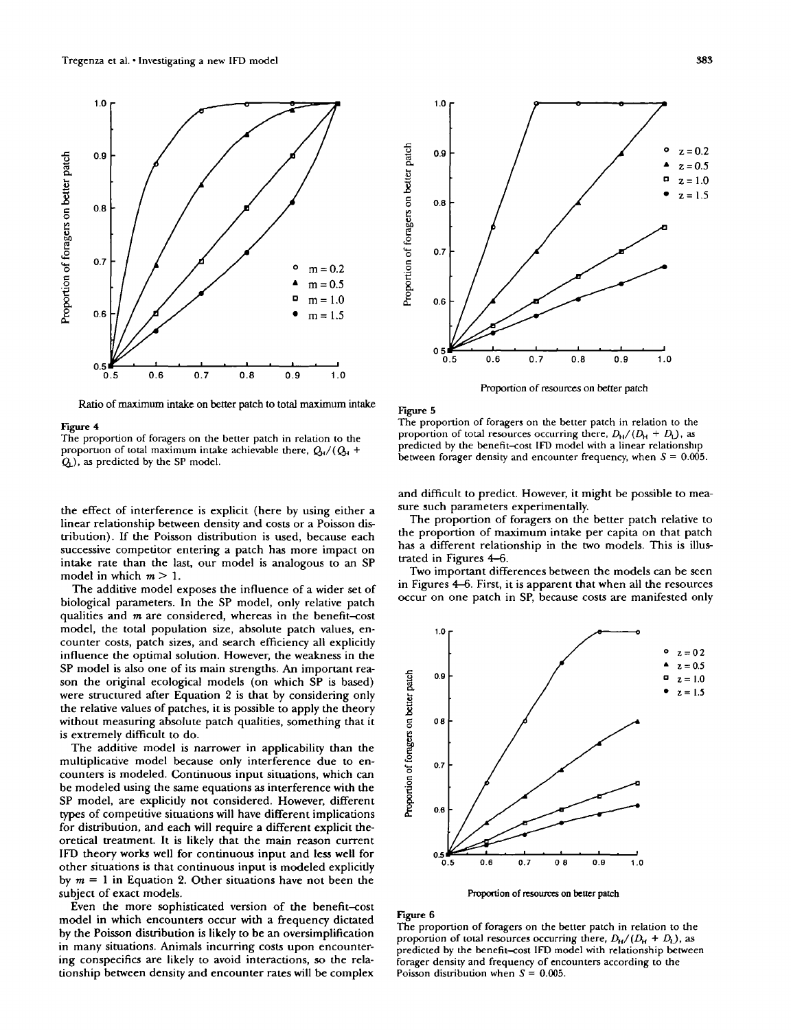

Ratio of maximum intake on better patch to total maximum intake

### Figure 4

The proportion of foragers on the better patch in relation to the proportion of total maximum intake achievable there,  $Q_H/(Q_H +$  $Q_1$ ), as predicted by the SP model.

the effect of interference is explicit (here by using either a linear relationship between density and costs or a Poisson distribution). If the Poisson distribution is used, because each successive competitor entering a patch has more impact on intake rate than the last, our model is analogous to an SP model in which  $m > 1$ .

The additive model exposes the influence of a wider set of biological parameters. In the SP model, only relative patch qualities and *m* are considered, whereas in the benefit-cost model, the total population size, absolute patch values, encounter costs, patch sizes, and search efficiency all explicitly influence die optimal solution. However, the weakness in the SP model is also one of its main strengths. An important reason die original ecological models (on which SP is based) were structured after Equation 2 is that by considering only the relative values of patches, it is possible to apply die theory without measuring absolute patch qualities, something that it is extremely difficult to do.

The additive model is narrower in applicability than the multiplicative model because only interference due to encounters is modeled. Continuous input situations, which can be modeled using the same equations as interference with the SP model, are explicidy not considered. However, different types of competitive situations will have different implications for distribution, and each will require a different explicit dieoretical treatment It is likely diat die main reason current IFD dieory works well for continuous input and less well for odier situations is diat continuous input is modeled explicidy by *m =* 1 in Equation 2. Odier situations have not been die subject of exact models.

Even die more sophisticated version of die benefit-cost model in which encounters occur widi a frequency dictated by die Poisson distribution is likely to be an oversimplification in many situations. Animals incurring costs upon encountering conspecifics are likely to avoid interactions, so die relationship between density and encounter rates will be complex



Proportion of resources on better patch

#### Figure 5

The proportion of foragers on the better patch in relation to the proportion of total resources occurring there,  $D_H/(D_H + D_L)$ , as predicted by the benefit-cost IFD model with a linear relationship between forager density and encounter frequency, when  $S = 0.005$ .

and difficult to predict. However, it might be possible to measure such parameters experimentally.

The proportion of foragers on die better patch relative to the proportion of maximum intake per capita on that patch has a different relationship in the two models. This is illustrated in Figures 4-6.

Two important differences between die models can be seen in Figures  $4-6$ . First, it is apparent that when all the resources occur on one patch in SP, because costs are manifested only



Proportion of resources on better patch

## Figure 6

The proportion of foragers on the better patch in relation to the proportion of total resources occurring there,  $D_H/(D_H + D_l)$ , as predicted by die benefit—cost IFD model with relationship between forager density and frequency of encounters according to die Poisson distribution when  $S = 0.005$ .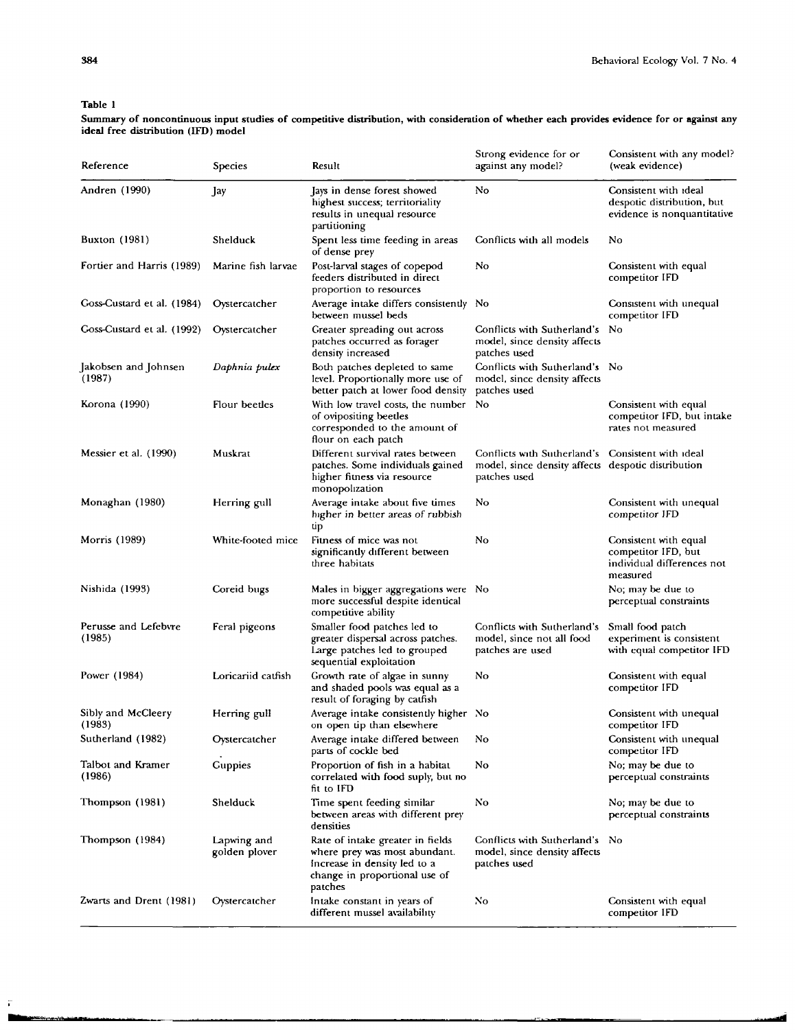ż

**Table 1**

**Summary of noncontinuous input studies of competitive distribution, with consideration of whether each provides evidence for or against any ideal free distribution (1FD) model**

| Reference                      | <b>Species</b>               | Result                                                                                                                                        | Strong evidence for or<br>against any model?                                                      | Consistent with any model?<br>(weak evidence)                                          |
|--------------------------------|------------------------------|-----------------------------------------------------------------------------------------------------------------------------------------------|---------------------------------------------------------------------------------------------------|----------------------------------------------------------------------------------------|
| Andren (1990)                  | .Jay                         | Jays in dense forest showed<br>highest success; territoriality<br>results in unequal resource<br>partitioning                                 | No                                                                                                | Consistent with ideal<br>despotic distribution, but<br>evidence is nonquantitative     |
| <b>Buxton</b> (1981)           | Shelduck                     | Spent less time feeding in areas<br>of dense prey                                                                                             | Conflicts with all models                                                                         | No                                                                                     |
| Fortier and Harris (1989)      | Marine fish larvae           | Post-larval stages of copepod<br>feeders distributed in direct<br>proportion to resources                                                     | No                                                                                                | Consistent with equal<br>competitor IFD                                                |
| Goss-Custard et al. (1984)     | Oystercatcher                | Average intake differs consistently No<br>between mussel beds                                                                                 |                                                                                                   | Consistent with unequal<br>competitor IFD                                              |
| Goss-Custard et al. (1992)     | Oystercatcher                | Greater spreading out across<br>patches occurred as forager<br>density increased                                                              | Conflicts with Sutherland's<br>model, since density affects<br>patches used                       | No                                                                                     |
| Jakobsen and Johnsen<br>(1987) | Daphnia pulex                | Both patches depleted to same<br>level. Proportionally more use of<br>better patch at lower food density                                      | Conflicts with Sutherland's No<br>model, since density affects<br>patches used                    |                                                                                        |
| Korona (1990)                  | Flour beetles                | With low travel costs, the number<br>of ovipositing beetles<br>corresponded to the amount of<br>flour on each patch                           | No                                                                                                | Consistent with equal<br>competitor IFD, but intake<br>rates not measured              |
| Messier et al. (1990)          | Muskrat                      | Different survival rates between<br>patches. Some individuals gained<br>higher fitness via resource<br>monopolization                         | Conflicts with Sutherland's<br>model, since density affects despotic distribution<br>patches used | Consistent with ideal                                                                  |
| Monaghan (1980)                | Herring gull                 | Average intake about five times<br>higher in better areas of rubbish<br>tip                                                                   | No                                                                                                | Consistent with unequal<br>competitor IFD                                              |
| Morris (1989)                  | White-footed mice            | Fitness of mice was not<br>significantly different between<br>three habitats                                                                  | No                                                                                                | Consistent with equal<br>competitor IFD, but<br>individual differences not<br>measured |
| Nishida (1993)                 | Coreid bugs                  | Males in bigger aggregations were No<br>more successful despite identical<br>competitive ability                                              |                                                                                                   | No; may be due to<br>perceptual constraints                                            |
| Perusse and Lefebvre<br>(1985) | Feral pigeons                | Smaller food patches led to<br>greater dispersal across patches.<br>Large patches led to grouped<br>sequential exploitation                   | Conflicts with Sutherland's<br>model, since not all food<br>patches are used                      | Small food patch<br>experiment is consistent<br>with equal competitor IFD              |
| Power (1984)                   | Loricariid catfish           | Growth rate of algae in sunny<br>and shaded pools was equal as a<br>result of foraging by catfish                                             | No                                                                                                | Consistent with equal<br>competitor IFD                                                |
| Sibly and McCleery<br>(1983)   | Herring gull                 | Average intake consistently higher No<br>on open up than elsewhere                                                                            |                                                                                                   | Consistent with unequal<br>competitor IFD                                              |
| Sutherland (1982)              | Oystercatcher                | Average intake differed between<br>parts of cockle bed                                                                                        | No                                                                                                | Consistent with unequal<br>competitor IFD                                              |
| Talbot and Kramer<br>(1986)    | <b>Guppies</b>               | Proportion of fish in a habitat<br>correlated with food suply, but no<br>fit to IFD                                                           | No                                                                                                | No; may be due to<br>perceptual constraints                                            |
| Thompson (1981)                | Shelduck                     | Time spent feeding similar<br>between areas with different prey<br>densities                                                                  | No                                                                                                | No; may be due to<br>perceptual constraints                                            |
| Thompson (1984)                | Lapwing and<br>golden plover | Rate of intake greater in fields<br>where prey was most abundant.<br>Increase in density led to a<br>change in proportional use of<br>patches | Conflicts with Sutherland's No<br>model, since density affects<br>patches used                    |                                                                                        |
| Zwarts and Drent (1981)        | Oystercatcher                | Intake constant in years of<br>different mussel availability                                                                                  | No                                                                                                | Consistent with equal<br>competitor IFD                                                |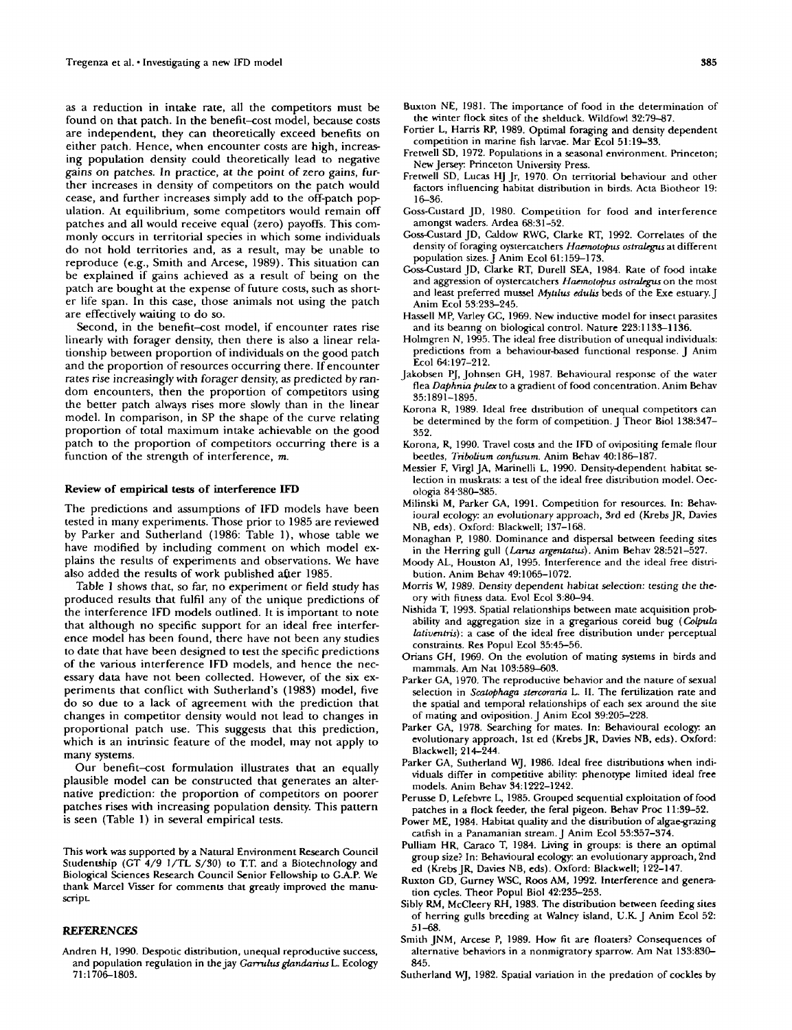as a reduction in intake rate, all the competitors must be found on that patch. In the benefit-cost model, because costs are independent, they can theoretically exceed benefits on either patch. Hence, when encounter costs are high, increasing population density could theoretically lead to negative gains on patches. In practice, at the point of zero gains, further increases in density of competitors on the patch would cease, and further increases simply add to the off-patch population. At equilibrium, some competitors would remain off patches and all would receive equal (zero) payoffs. This commonly occurs in territorial species in which some individuals do not hold territories and, as a result, may be unable to reproduce (e.g., Smith and Arcese, 1989). This situation can be explained if gains achieved as a result of being on the patch are bought at the expense of future costs, such as shorter life span. In this case, diose animals not using the patch are effectively waiting to do so.

Second, in the benefit-cost model, if encounter rates rise linearly with forager density, then there is also a linear relationship between proportion of individuals on the good patch and the proportion of resources occurring diere. If encounter rates rise increasingly with forager density, as predicted by random encounters, then the proportion of competitors using the better patch always rises more slowly than in the linear model. In comparison, in SP the shape of the curve relating proportion of total maximum intake achievable on the good patch to the proportion of competitors occurring there is a function of the strength of interference,  $m$ .

#### **Review of empirical tests of interference IFD**

The predictions and assumptions of IFD models have been tested in many experiments. Those prior to 1985 are reviewed by Parker and Sutherland (1986: Table 1), whose table we have modified by including comment on which model explains the results of experiments and observations. We have also added the results of work published after 1985.

Table 1 shows that, so far, no experiment or field study has produced results diat fulfil any of the unique predictions of the interference IFD models outlined. It is important to note that although no specific support for an ideal free interference model has been found, there have not been any studies to date that have been designed to test the specific predictions of die various interference IFD models, and hence die necessary data have not been collected. However, of the six experiments that conflict with Sutherland's (1983) model, five do so due to a lack of agreement with the prediction that changes in competitor density would not lead to changes in proportional patch use. This suggests diat diis prediction, which is an intrinsic feature of die model, may not apply to many systems.

Our benefit-cost formulation illustrates that an equally plausible model can be constructed diat generates an alternative prediction: die proportion of competitors on poorer patches rises widi increasing population density. This pattern is seen (Table 1) in several empirical tests.

This work was supported by a Natural Environment Research Council Studentship (CT 4/9 1/TL S/30) to T.T. and a Biotechnology and Biological Sciences Research Council Senior Fellowship to GAP. We thank Marcel Visser for comments that greatly improved the manuscript.

## **REFERENCES**

Andren H, 1990. Despotic distribution, unequal reproductive success, and population regulation in the jay *Garrulus glandarius* L. Ecology 71:1706-1803.

- Buxton NE, 1981. The importance of food in the determination of the winter flock sites of the shelduck. Wildfowl 32:79-87.
- Fortier L, Harris RP, 1989. Optimal foraging and density dependent competition in marine fish larvae. Mar Ecol 51:19-33.
- Fretwell SD, 1972. Populations in a seasonal environment. Princeton; New Jersey: Princeton University Press.
- Fretwell SD, Lucas HJ Jr, 1970. On territorial behaviour and other factors influencing habitat distribution in birds. Acta Biotheor 19: 16-36.
- Goss-Custard JD, 1980. Competition for food and interference amongst waders. Ardea 68:31-52.
- Goss-Custard JD, Caldow RWG, Clarke RT, 1992. Correlates of the density of foraging oystercatchers *Haemotopus ostmlegus* at different population sizes. J Anim Ecol 61:159-173.
- Goss-Custard JD, Clarke RT, Durell SEA, 1984. Rate of food intake and aggression of oystercatchers Haemotopus ostralegus on the most and least preferred mussel *Myltlus edulis* beds of the Exe estuary. J Anim Ecol 53:233-245.
- Hassell MP, Varley GC, 1969. New inductive model for insect parasites and its bearing on biological control. Nature 223:1133-1136.
- Holmgren N, 1995. The ideal free distribution of unequal individuals: predictions from a behaviour-based functional response. J Anim Ecol 64:197-212.
- Jakobsen PJ, Johnsen GH, 1987. Behavioural response of the water flea *Daphnia pulex* to a gradient of food concentration. Anim Behav 35:1891-1895.
- Korona R, 1989. Ideal free distribution of unequal competitors can be determined by the form of competition. J Theor Biol 138:347- 352.
- Korona, R, 1990. Travel costs and the IFD of ovipositing female flour beetles, Tribolium confusum. Anim Behav 40:186-187.
- Messier F, Virgl JA Marinelli L, 1990. Density-dependent habitat selection in muskrats: a test of the ideal free distribution model. Oecologia 84-380-385.
- Milinski M, Parker GA, 1991. Competition for resources. In: Behavioural ecology: an evolutionary approach, 3rd ed (Krebs JR, Davies NB, eds). Oxford: Blackwell; 137-168.
- Monaghan P, 1980. Dominance and dispersal between feeding sites in the Herring gull *(Larus argentalus).* Anim Behav 28:521-527.
- Moody AL, Houston AI, 1995. Interference and the ideal free distribution. Anim Behav 49:1065-1072.
- Morris W, 1989. Density dependent habitat selection: testing the theory with fitness data. Evol Ecol 3:80-94.
- Nishida T, 1993. Spatial relationships between mate acquisition probability and aggregation size in a gregarious coreid bug *(Colpula lativentris):* a case of the ideal free distribution under perceptual constraints. Res Popul Ecol 35:45-56.
- Orians GH, 1969. On the evolution of mating systems in birds and mammals. Am Nat 103:589-603.
- Parker GA, 1970. The reproductive behavior and the nature of sexual selection in *Scatophaga stercoraria* L. II. The fertilization rate and the spatial and temporal relationships of each sex around the site of mating and oviposition. J Anim Ecol 39:205-228.
- Parker GA, 1978. Searching for mates. In: Behavioural ecology: an evolutionary approach, 1st ed (Krebs JR, Davies NB, eds). Oxford: Blackwell; 214-244.
- Parker GA, Sutherland WJ, 1986. Ideal free distributions when individuals differ in competitive ability: phenotype limited ideal free models. Anim Behav 34:1222-1242.
- Perusse D, Lefebvre L, 1985. Grouped sequential exploitation of food patches in a flock feeder, the feral pigeon. Behav Proc 11:39-52.
- Power ME, 1984. Habitat quality and the distribution of algae-grazing catfish in a Panamanian stream. J Anim Ecol 53:357-374.
- Pulliam HR, Caraco T, 1984. Living in groups: is there an optimal group size? In: Behavioural ecology: an evolutionary approach, 2nd ed (Krebs JR, Davies NB, eds). Oxford: Blackwell; 122-147.
- Ruxton GD, Gurney WSC, Roos AM, 1992. Interference and generation cycles. Theor Popul Biol 42:235-253.
- Sibly RM, McCleery RH, 1983. The distribution between feeding sites of herring gulls breeding at Walney island, U.K. J Anim Ecol 52: 51-68.
- Smith JNM, Arcese P, 1989. How fit are floaters? Consequences of alternative behaviors in a nonmigratory sparrow. Am Nat 133:830- 845.

Sutherland WJ, 1982. Spatial variation in the predation of cockles by